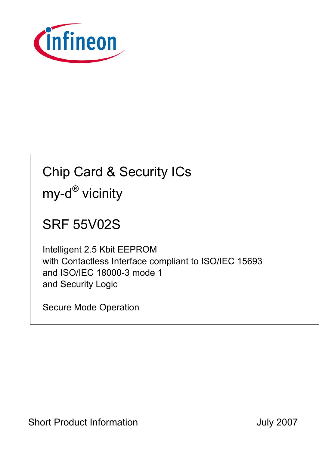

# Chip Card & Security ICs my-d<sup>®</sup> vicinity

## SRF 55V02S

Intelligent 2.5 Kbit EEPROM with Contactless Interface compliant to ISO/IEC 15693 and ISO/IEC 18000-3 mode 1 and Security Logic

Secure Mode Operation

Short Product Information **Short Product Information July 2007**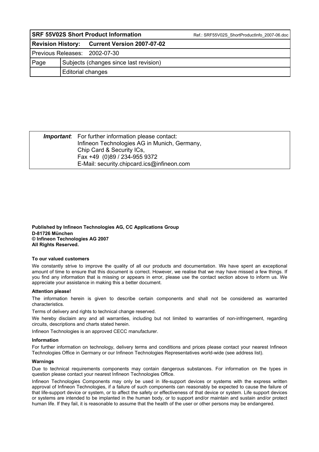| <b>SRF 55V02S Short Product Information</b> |                                        |                                              | Ref.: SRF55V02S ShortProductInfo 2007-06.doc |  |  |
|---------------------------------------------|----------------------------------------|----------------------------------------------|----------------------------------------------|--|--|
|                                             |                                        | Revision History: Current Version 2007-07-02 |                                              |  |  |
| Previous Releases: 2002-07-30               |                                        |                                              |                                              |  |  |
| Page                                        | Subjects (changes since last revision) |                                              |                                              |  |  |
|                                             | Editorial changes                      |                                              |                                              |  |  |

| <b>Important:</b> For further information please contact:<br>Infineon Technologies AG in Munich, Germany, |  |
|-----------------------------------------------------------------------------------------------------------|--|
| Chip Card & Security ICs.                                                                                 |  |
| Fax +49 (0)89 / 234-955 9372                                                                              |  |
| E-Mail: security.chipcard.ics@infineon.com                                                                |  |

**Published by Infineon Technologies AG, CC Applications Group D-81726 München © Infineon Technologies AG 2007 All Rights Reserved.** 

#### **To our valued customers**

We constantly strive to improve the quality of all our products and documentation. We have spent an exceptional amount of time to ensure that this document is correct. However, we realise that we may have missed a few things. If you find any information that is missing or appears in error, please use the contact section above to inform us. We appreciate your assistance in making this a better document.

#### **Attention please!**

The information herein is given to describe certain components and shall not be considered as warranted characteristics.

Terms of delivery and rights to technical change reserved.

We hereby disclaim any and all warranties, including but not limited to warranties of non-infringement, regarding circuits, descriptions and charts stated herein.

Infineon Technologies is an approved CECC manufacturer.

#### **Information**

For further information on technology, delivery terms and conditions and prices please contact your nearest Infineon Technologies Office in Germany or our Infineon Technologies Representatives world-wide (see address list).

#### **Warnings**

Due to technical requirements components may contain dangerous substances. For information on the types in question please contact your nearest Infineon Technologies Office.

Infineon Technologies Components may only be used in life-support devices or systems with the express written approval of Infineon Technologies, if a failure of such components can reasonably be expected to cause the failure of that life-support device or system, or to affect the safety or effectiveness of that device or system. Life support devices or systems are intended to be implanted in the human body, or to support and/or maintain and sustain and/or protect human life. If they fail, it is reasonable to assume that the health of the user or other persons may be endangered.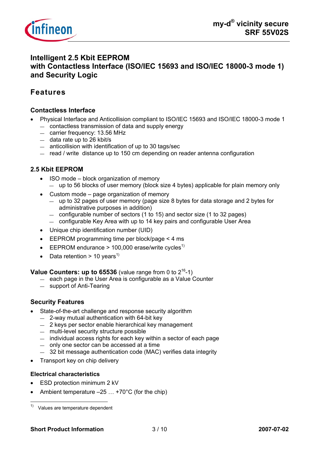

## **Intelligent 2.5 Kbit EEPROM with Contactless Interface (ISO/IEC 15693 and ISO/IEC 18000-3 mode 1) and Security Logic**

## **Features**

#### **Contactless Interface**

- Physical Interface and Anticollision compliant to ISO/IEC 15693 and ISO/IEC 18000-3 mode 1 — contactless transmission of data and supply energy
	- carrier frequency: 13.56 MHz
	- data rate up to 26 kbit/s
	- anticollision with identification of up to 30 tags/sec
	- read / write distance up to 150 cm depending on reader antenna configuration

#### **2.5 Kbit EEPROM**

- ISO mode block organization of memory — up to 56 blocks of user memory (block size 4 bytes) applicable for plain memory only
- Custom mode page organization of memory
	- up to 32 pages of user memory (page size 8 bytes for data storage and 2 bytes for administrative purposes in addition)
	- configurable number of sectors (1 to 15) and sector size (1 to 32 pages)
	- configurable Key Area with up to 14 key pairs and configurable User Area
- Unique chip identification number (UID)
- EEPROM programming time per block/page < 4 ms
- **•** EEPROM endurance > 100,000 erase/write cycles<sup>1)</sup>
- Data retention > 10 years<sup>1)</sup>

**Value Counters: up to**  $65536$  **(value range from 0 to**  $2^{16}$ **-1)** 

- each page in the User Area is configurable as a Value Counter
- support of Anti-Tearing

#### **Security Features**

- State-of-the-art challenge and response security algorithm
	- 2-way mutual authentication with 64-bit key
	- 2 keys per sector enable hierarchical key management
	- multi-level security structure possible
	- individual access rights for each key within a sector of each page
	- only one sector can be accessed at a time
	- 32 bit message authentication code (MAC) verifies data integrity
- Transport key on chip delivery

#### **Electrical characteristics**

- ESD protection minimum 2 kV
- Ambient temperature  $-25$  ...  $+70^{\circ}$ C (for the chip)

 $1)$  Values are temperature dependent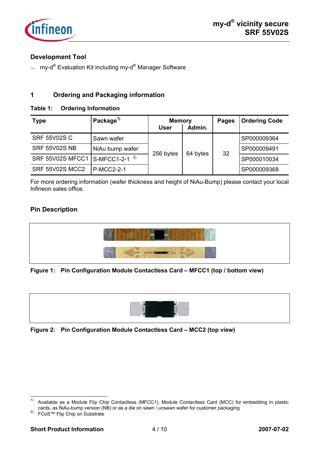

#### **Development Tool**

— my-d<sup>®</sup> Evaluation Kit including my-d<sup>®</sup> Manager Software

#### **1 Ordering and Packaging information**

#### **Table 1: Ordering Information**

| <b>Type</b>                                | Package <sup>1)</sup> | <b>Memory</b><br>User | Admin.   | <b>Pages</b> | <b>Ordering Code</b> |
|--------------------------------------------|-----------------------|-----------------------|----------|--------------|----------------------|
| <b>SRF 55V02S C</b>                        | Sawn wafer            | 256 bytes             | 64 bytes | 32           | SP000009364          |
| <b>SRF 55V02S NB</b>                       | NiAu bump wafer       |                       |          |              | SP000009491          |
| SRF 55V02S MFCC1 S-MFCC1-2-1 <sup>2)</sup> |                       |                       |          |              | SP000010034          |
| SRF 55V02S MCC2                            | <b>P-MCC2-2-1</b>     |                       |          |              | SP000009368          |

For more ordering information (wafer thickness and height of NiAu-Bump) please contact your local Infineon sales office.

#### **Pin Description**



#### **Figure 1: Pin Configuration Module Contactless Card – MFCC1 (top / bottom view)**



**Figure 2: Pin Configuration Module Contactless Card – MCC2 (top view)** 

 $1)$ Available as a Module Flip Chip Contactless (MFCC1), Module Contactless Card (MCC) for embedding in plastic cards, as NiAu-bump version (NB) or as a die on sawn / unsawn wafer for customer packaging 2) FCoS™ Flip Chip on Substrate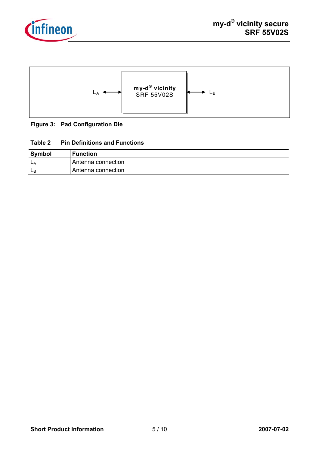



#### **Figure 3: Pad Configuration Die**

#### **Table 2 Pin Definitions and Functions**

| <b>Symbol</b> | <b>Function</b>    |
|---------------|--------------------|
| <b>L</b>      | Antenna connection |
| ЩP            | Antenna connection |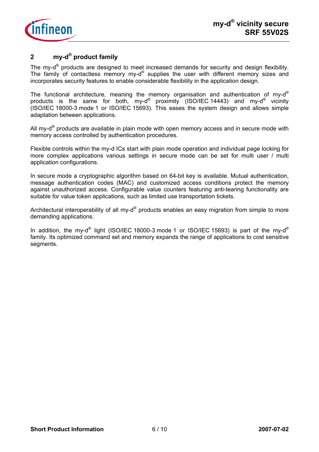

## **2 my-d® product family**

The my-d<sup>®</sup> products are designed to meet increased demands for security and design flexibility. The family of contactless memory my-d® supplies the user with different memory sizes and incorporates security features to enable considerable flexibility in the application design.

The functional architecture, meaning the memory organisation and authentication of my-d<sup>®</sup> products is the same for both, my-d® proximity (ISO/IEC 14443) and my-d® vicinity (ISO/IEC 18000-3 mode 1 or ISO/IEC 15693). This eases the system design and allows simple adaptation between applications.

All my- $d^{\circ}$  products are available in plain mode with open memory access and in secure mode with memory access controlled by authentication procedures.

Flexible controls within the my-d ICs start with plain mode operation and individual page locking for more complex applications various settings in secure mode can be set for multi user / multi application configurations.

In secure mode a cryptographic algorithm based on 64-bit key is available. Mutual authentication, message authentication codes (MAC) and customized access conditions protect the memory against unauthorized access. Configurable value counters featuring anti-tearing functionality are suitable for value token applications, such as limited use transportation tickets.

Architectural interoperability of all my- $d^{\circledast}$  products enables an easy migration from simple to more demanding applications.

In addition, the my-d<sup>®</sup> light (ISO/IEC 18000-3 mode 1 or ISO/IEC 15693) is part of the my-d<sup>®</sup> family. Its optimized command set and memory expands the range of applications to cost sensitive segments.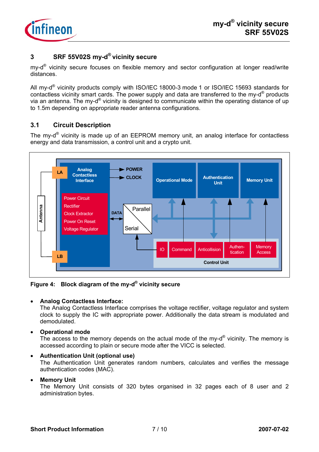

#### **3 SRF 55V02S my-d® vicinity secure**

my- $d^{\circledR}$  vicinity secure focuses on flexible memory and sector configuration at longer read/write distances.

All my-d® vicinity products comply with ISO/IEC 18000-3 mode 1 or ISO/IEC 15693 standards for contactless vicinity smart cards. The power supply and data are transferred to the my-d® products via an antenna. The my-d® vicinity is designed to communicate within the operating distance of up to 1.5m depending on appropriate reader antenna configurations.

## **3.1 Circuit Description**

The my-d® vicinity is made up of an EEPROM memory unit, an analog interface for contactless energy and data transmission, a control unit and a crypto unit.



**Figure 4: Block diagram of the my-d® vicinity secure** 

#### • **Analog Contactless Interface:**

The Analog Contactless Interface comprises the voltage rectifier, voltage regulator and system clock to supply the IC with appropriate power. Additionally the data stream is modulated and demodulated.

• **Operational mode** 

The access to the memory depends on the actual mode of the my- $d^{\circledR}$  vicinity. The memory is accessed according to plain or secure mode after the VICC is selected.

#### • **Authentication Unit (optional use)**

The Authentication Unit generates random numbers, calculates and verifies the message authentication codes (MAC).

#### • **Memory Unit**

The Memory Unit consists of 320 bytes organised in 32 pages each of 8 user and 2 administration bytes.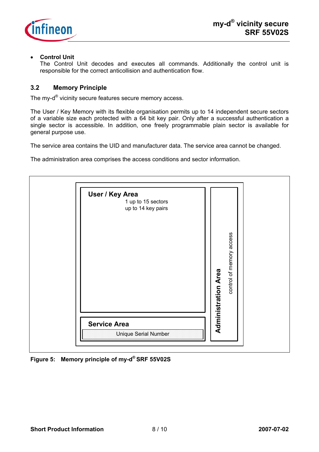

#### • **Control Unit**

The Control Unit decodes and executes all commands. Additionally the control unit is responsible for the correct anticollision and authentication flow.

#### **3.2 Memory Principle**

The my-d<sup>®</sup> vicinity secure features secure memory access.

The User / Key Memory with its flexible organisation permits up to 14 independent secure sectors of a variable size each protected with a 64 bit key pair. Only after a successful authentication a single sector is accessible. In addition, one freely programmable plain sector is available for general purpose use.

The service area contains the UID and manufacturer data. The service area cannot be changed.

The administration area comprises the access conditions and sector information.



**Figure 5: Memory principle of my-d® SRF 55V02S**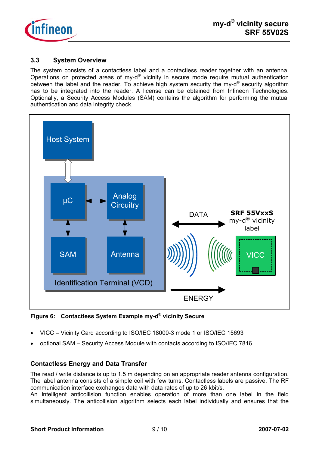

#### **3.3 System Overview**

The system consists of a contactless label and a contactless reader together with an antenna. Operations on protected areas of my-d® vicinity in secure mode require mutual authentication between the label and the reader. To achieve high system security the my-d<sup>®</sup> security algorithm has to be integrated into the reader. A license can be obtained from Infineon Technologies. Optionally, a Security Access Modules (SAM) contains the algorithm for performing the mutual authentication and data integrity check.



**Figure 6: Contactless System Example my-d® vicinity Secure** 

- VICC Vicinity Card according to ISO/IEC 18000-3 mode 1 or ISO/IEC 15693
- optional SAM Security Access Module with contacts according to ISO/IEC 7816

#### **Contactless Energy and Data Transfer**

The read / write distance is up to 1.5 m depending on an appropriate reader antenna configuration. The label antenna consists of a simple coil with few turns. Contactless labels are passive. The RF communication interface exchanges data with data rates of up to 26 kbit/s.

An intelligent anticollision function enables operation of more than one label in the field simultaneously. The anticollision algorithm selects each label individually and ensures that the